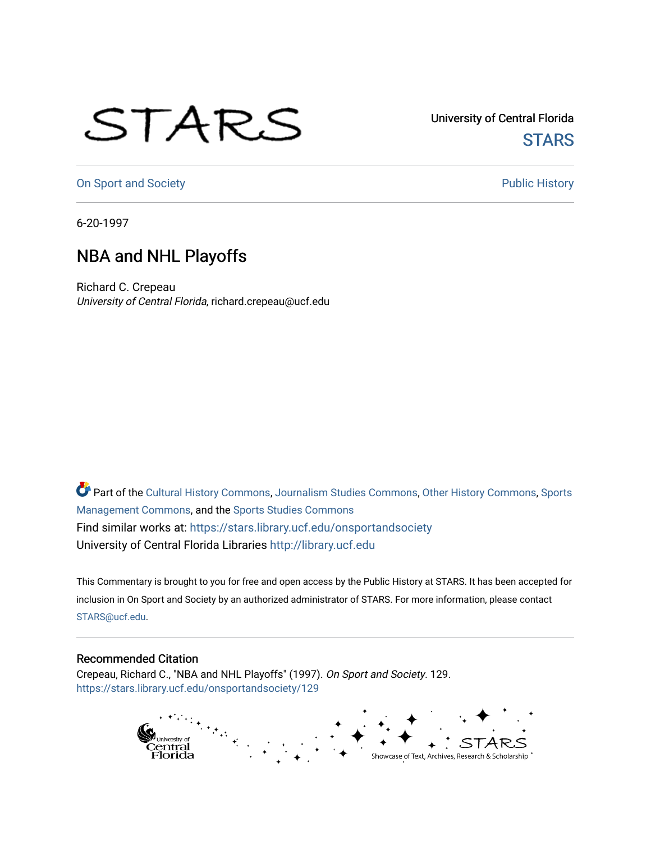## STARS

University of Central Florida **STARS** 

[On Sport and Society](https://stars.library.ucf.edu/onsportandsociety) **Public History** Public History

6-20-1997

## NBA and NHL Playoffs

Richard C. Crepeau University of Central Florida, richard.crepeau@ucf.edu

Part of the [Cultural History Commons](http://network.bepress.com/hgg/discipline/496?utm_source=stars.library.ucf.edu%2Fonsportandsociety%2F129&utm_medium=PDF&utm_campaign=PDFCoverPages), [Journalism Studies Commons,](http://network.bepress.com/hgg/discipline/333?utm_source=stars.library.ucf.edu%2Fonsportandsociety%2F129&utm_medium=PDF&utm_campaign=PDFCoverPages) [Other History Commons,](http://network.bepress.com/hgg/discipline/508?utm_source=stars.library.ucf.edu%2Fonsportandsociety%2F129&utm_medium=PDF&utm_campaign=PDFCoverPages) [Sports](http://network.bepress.com/hgg/discipline/1193?utm_source=stars.library.ucf.edu%2Fonsportandsociety%2F129&utm_medium=PDF&utm_campaign=PDFCoverPages) [Management Commons](http://network.bepress.com/hgg/discipline/1193?utm_source=stars.library.ucf.edu%2Fonsportandsociety%2F129&utm_medium=PDF&utm_campaign=PDFCoverPages), and the [Sports Studies Commons](http://network.bepress.com/hgg/discipline/1198?utm_source=stars.library.ucf.edu%2Fonsportandsociety%2F129&utm_medium=PDF&utm_campaign=PDFCoverPages) Find similar works at: <https://stars.library.ucf.edu/onsportandsociety> University of Central Florida Libraries [http://library.ucf.edu](http://library.ucf.edu/) 

This Commentary is brought to you for free and open access by the Public History at STARS. It has been accepted for inclusion in On Sport and Society by an authorized administrator of STARS. For more information, please contact [STARS@ucf.edu](mailto:STARS@ucf.edu).

## Recommended Citation

Crepeau, Richard C., "NBA and NHL Playoffs" (1997). On Sport and Society. 129. [https://stars.library.ucf.edu/onsportandsociety/129](https://stars.library.ucf.edu/onsportandsociety/129?utm_source=stars.library.ucf.edu%2Fonsportandsociety%2F129&utm_medium=PDF&utm_campaign=PDFCoverPages)

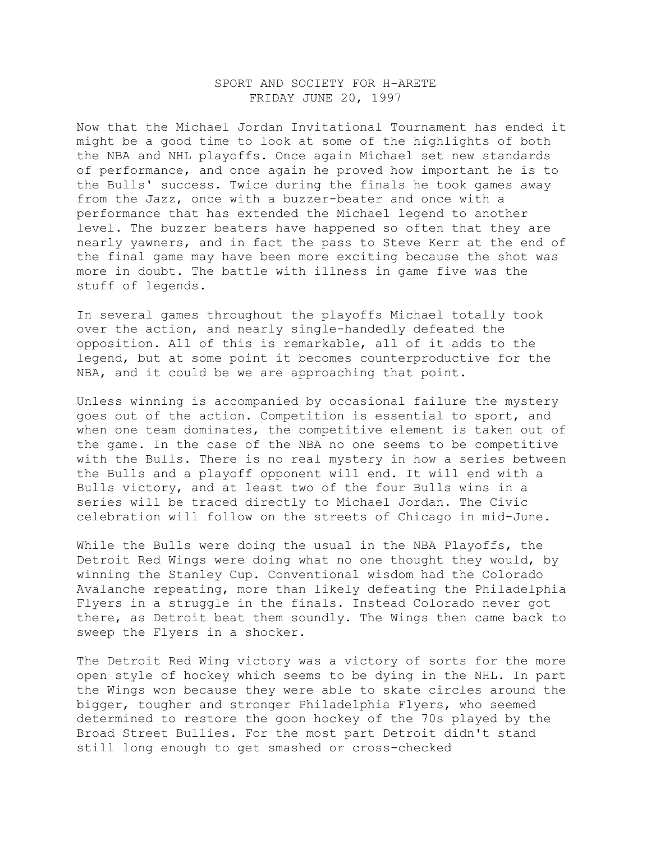## SPORT AND SOCIETY FOR H-ARETE FRIDAY JUNE 20, 1997

Now that the Michael Jordan Invitational Tournament has ended it might be a good time to look at some of the highlights of both the NBA and NHL playoffs. Once again Michael set new standards of performance, and once again he proved how important he is to the Bulls' success. Twice during the finals he took games away from the Jazz, once with a buzzer-beater and once with a performance that has extended the Michael legend to another level. The buzzer beaters have happened so often that they are nearly yawners, and in fact the pass to Steve Kerr at the end of the final game may have been more exciting because the shot was more in doubt. The battle with illness in game five was the stuff of legends.

In several games throughout the playoffs Michael totally took over the action, and nearly single-handedly defeated the opposition. All of this is remarkable, all of it adds to the legend, but at some point it becomes counterproductive for the NBA, and it could be we are approaching that point.

Unless winning is accompanied by occasional failure the mystery goes out of the action. Competition is essential to sport, and when one team dominates, the competitive element is taken out of the game. In the case of the NBA no one seems to be competitive with the Bulls. There is no real mystery in how a series between the Bulls and a playoff opponent will end. It will end with a Bulls victory, and at least two of the four Bulls wins in a series will be traced directly to Michael Jordan. The Civic celebration will follow on the streets of Chicago in mid-June.

While the Bulls were doing the usual in the NBA Playoffs, the Detroit Red Wings were doing what no one thought they would, by winning the Stanley Cup. Conventional wisdom had the Colorado Avalanche repeating, more than likely defeating the Philadelphia Flyers in a struggle in the finals. Instead Colorado never got there, as Detroit beat them soundly. The Wings then came back to sweep the Flyers in a shocker.

The Detroit Red Wing victory was a victory of sorts for the more open style of hockey which seems to be dying in the NHL. In part the Wings won because they were able to skate circles around the bigger, tougher and stronger Philadelphia Flyers, who seemed determined to restore the goon hockey of the 70s played by the Broad Street Bullies. For the most part Detroit didn't stand still long enough to get smashed or cross-checked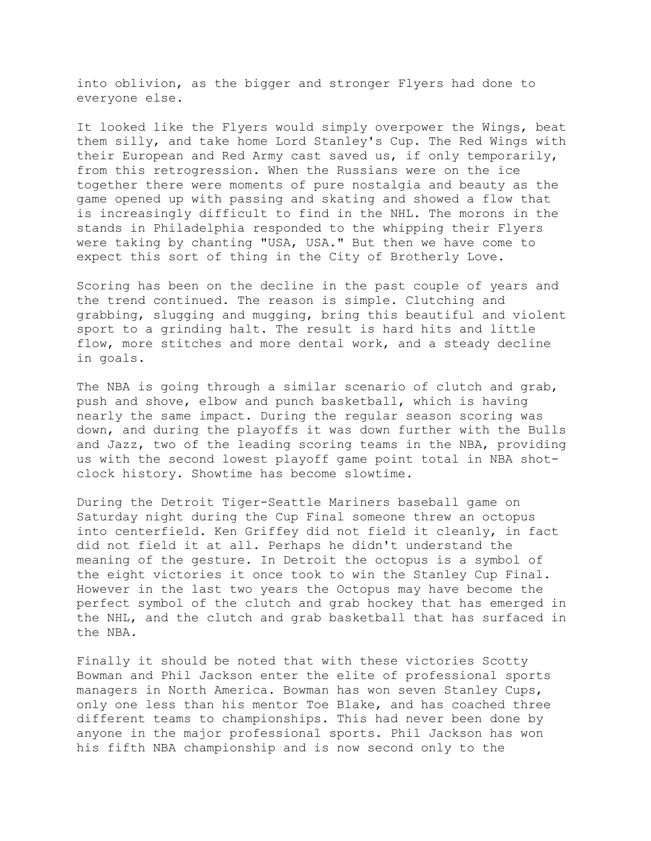into oblivion, as the bigger and stronger Flyers had done to everyone else.

It looked like the Flyers would simply overpower the Wings, beat them silly, and take home Lord Stanley's Cup. The Red Wings with their European and Red Army cast saved us, if only temporarily, from this retrogression. When the Russians were on the ice together there were moments of pure nostalgia and beauty as the game opened up with passing and skating and showed a flow that is increasingly difficult to find in the NHL. The morons in the stands in Philadelphia responded to the whipping their Flyers were taking by chanting "USA, USA." But then we have come to expect this sort of thing in the City of Brotherly Love.

Scoring has been on the decline in the past couple of years and the trend continued. The reason is simple. Clutching and grabbing, slugging and mugging, bring this beautiful and violent sport to a grinding halt. The result is hard hits and little flow, more stitches and more dental work, and a steady decline in goals.

The NBA is going through a similar scenario of clutch and grab, push and shove, elbow and punch basketball, which is having nearly the same impact. During the regular season scoring was down, and during the playoffs it was down further with the Bulls and Jazz, two of the leading scoring teams in the NBA, providing us with the second lowest playoff game point total in NBA shotclock history. Showtime has become slowtime.

During the Detroit Tiger-Seattle Mariners baseball game on Saturday night during the Cup Final someone threw an octopus into centerfield. Ken Griffey did not field it cleanly, in fact did not field it at all. Perhaps he didn't understand the meaning of the gesture. In Detroit the octopus is a symbol of the eight victories it once took to win the Stanley Cup Final. However in the last two years the Octopus may have become the perfect symbol of the clutch and grab hockey that has emerged in the NHL, and the clutch and grab basketball that has surfaced in the NBA.

Finally it should be noted that with these victories Scotty Bowman and Phil Jackson enter the elite of professional sports managers in North America. Bowman has won seven Stanley Cups, only one less than his mentor Toe Blake, and has coached three different teams to championships. This had never been done by anyone in the major professional sports. Phil Jackson has won his fifth NBA championship and is now second only to the